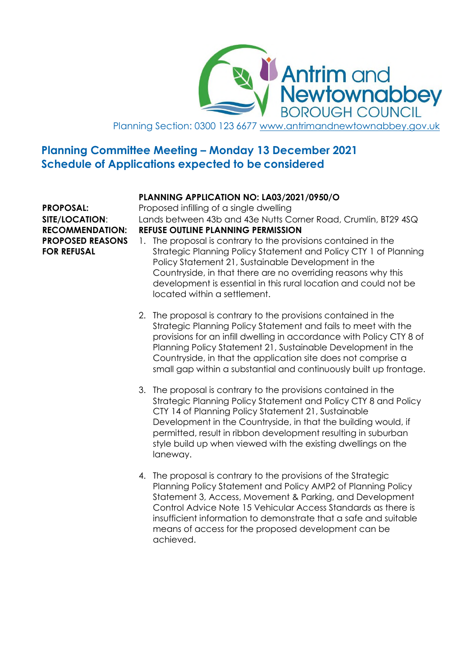**Antrim and<br>Newtownabbey** BOROUGH COUNCIL Planning Section: 0300 123 6677 www.antrimandnewtownabbey.gov.uk

# **Planning Committee Meeting – Monday 13 December 2021 Schedule of Applications expected to be considered**

# **PLANNING APPLICATION NO: LA03/2021/0950/O**

**PROPOSED REASONS FOR REFUSAL**

**PROPOSAL:** Proposed infilling of a single dwelling **SITE/LOCATION**: Lands between 43b and 43e Nutts Corner Road, Crumlin, BT29 4SQ **RECOMMENDATION: REFUSE OUTLINE PLANNING PERMISSION**

- 1. The proposal is contrary to the provisions contained in the Strategic Planning Policy Statement and Policy CTY 1 of Planning Policy Statement 21, Sustainable Development in the Countryside, in that there are no overriding reasons why this development is essential in this rural location and could not be located within a settlement.
- 2. The proposal is contrary to the provisions contained in the Strategic Planning Policy Statement and fails to meet with the provisions for an infill dwelling in accordance with Policy CTY 8 of Planning Policy Statement 21, Sustainable Development in the Countryside, in that the application site does not comprise a small gap within a substantial and continuously built up frontage.
- 3. The proposal is contrary to the provisions contained in the Strategic Planning Policy Statement and Policy CTY 8 and Policy CTY 14 of Planning Policy Statement 21, Sustainable Development in the Countryside, in that the building would, if permitted, result in ribbon development resulting in suburban style build up when viewed with the existing dwellings on the laneway.
- 4. The proposal is contrary to the provisions of the Strategic Planning Policy Statement and Policy AMP2 of Planning Policy Statement 3, Access, Movement & Parking, and Development Control Advice Note 15 Vehicular Access Standards as there is insufficient information to demonstrate that a safe and suitable means of access for the proposed development can be achieved.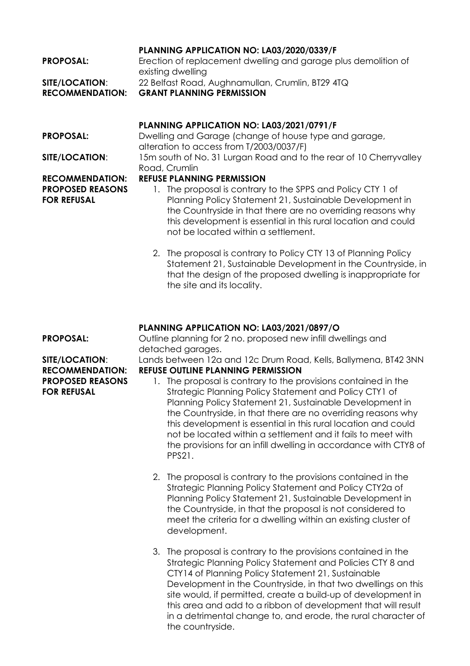#### **PLANNING APPLICATION NO: LA03/2020/0339/F**

| <b>RECOMMENDATION:</b> | <b>GRANT PLANNING PERMISSION</b>                               |
|------------------------|----------------------------------------------------------------|
| <b>SITE/LOCATION:</b>  | 22 Belfast Road, Aughnamullan, Crumlin, BT29 4TQ               |
|                        | existing dwelling                                              |
| <b>PROPOSAL:</b>       | Erection of replacement dwelling and garage plus demolition of |

### **PLANNING APPLICATION NO: LA03/2021/0791/F**

**PROPOSAL:** Dwelling and Garage (change of house type and garage, alteration to access from T/2003/0037/F) **SITE/LOCATION:** 15m south of No. 31 Lurgan Road and to the rear of 10 Cherryvalley Road, Crumlin

#### **RECOMMENDATION: REFUSE PLANNING PERMISSION**

- 1. The proposal is contrary to the SPPS and Policy CTY 1 of Planning Policy Statement 21, Sustainable Development in the Countryside in that there are no overriding reasons why this development is essential in this rural location and could not be located within a settlement.
- 2. The proposal is contrary to Policy CTY 13 of Planning Policy Statement 21, Sustainable Development in the Countryside, in that the design of the proposed dwelling is inappropriate for the site and its locality.

# **PLANNING APPLICATION NO: LA03/2021/0897/O**

**PROPOSAL:** Outline planning for 2 no. proposed new infill dwellings and detached garages.

**SITE/LOCATION**: Lands between 12a and 12c Drum Road, Kells, Ballymena, BT42 3NN **RECOMMENDATION: REFUSE OUTLINE PLANNING PERMISSION**

### 1. The proposal is contrary to the provisions contained in the Strategic Planning Policy Statement and Policy CTY1 of Planning Policy Statement 21, Sustainable Development in the Countryside, in that there are no overriding reasons why this development is essential in this rural location and could not be located within a settlement and it fails to meet with the provisions for an infill dwelling in accordance with CTY8 of PPS21.

- 2. The proposal is contrary to the provisions contained in the Strategic Planning Policy Statement and Policy CTY2a of Planning Policy Statement 21, Sustainable Development in the Countryside, in that the proposal is not considered to meet the criteria for a dwelling within an existing cluster of development.
- 3. The proposal is contrary to the provisions contained in the Strategic Planning Policy Statement and Policies CTY 8 and CTY14 of Planning Policy Statement 21, Sustainable Development in the Countryside, in that two dwellings on this site would, if permitted, create a build-up of development in this area and add to a ribbon of development that will result in a detrimental change to, and erode, the rural character of the countryside.

**PROPOSED REASONS FOR REFUSAL**

**PROPOSED REASONS**

**FOR REFUSAL**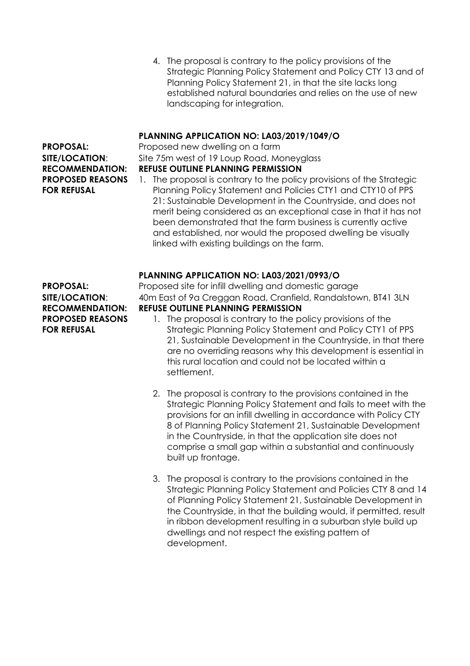4. The proposal is contrary to the policy provisions of the Strategic Planning Policy Statement and Policy CTY 13 and of Planning Policy Statement 21, in that the site lacks long established natural boundaries and relies on the use of new landscaping for integration.

# **PLANNING APPLICATION NO: LA03/2019/1049/O**

# **PROPOSED REASONS FOR REFUSAL**

**PROPOSAL:** Proposed new dwelling on a farm **SITE/LOCATION:** Site 75m west of 19 Loup Road, Moneyglass **RECOMMENDATION: REFUSE OUTLINE PLANNING PERMISSION**

1. The proposal is contrary to the policy provisions of the Strategic Planning Policy Statement and Policies CTY1 and CTY10 of PPS 21: Sustainable Development in the Countryside, and does not merit being considered as an exceptional case in that it has not been demonstrated that the farm business is currently active and established, nor would the proposed dwelling be visually linked with existing buildings on the farm.

#### **PLANNING APPLICATION NO: LA03/2021/0993/O**

**PROPOSED REASONS FOR REFUSAL**

- **PROPOSAL:** Proposed site for infill dwelling and domestic garage **SITE/LOCATION**: 40m East of 9a Creggan Road, Cranfield, Randalstown, BT41 3LN **RECOMMENDATION: REFUSE OUTLINE PLANNING PERMISSION**
	- 1. The proposal is contrary to the policy provisions of the Strategic Planning Policy Statement and Policy CTY1 of PPS 21, Sustainable Development in the Countryside, in that there are no overriding reasons why this development is essential in this rural location and could not be located within a settlement.
	- 2. The proposal is contrary to the provisions contained in the Strategic Planning Policy Statement and fails to meet with the provisions for an infill dwelling in accordance with Policy CTY 8 of Planning Policy Statement 21, Sustainable Development in the Countryside, in that the application site does not comprise a small gap within a substantial and continuously built up frontage.
	- 3. The proposal is contrary to the provisions contained in the Strategic Planning Policy Statement and Policies CTY 8 and 14 of Planning Policy Statement 21, Sustainable Development in the Countryside, in that the building would, if permitted, result in ribbon development resulting in a suburban style build up dwellings and not respect the existing pattern of development.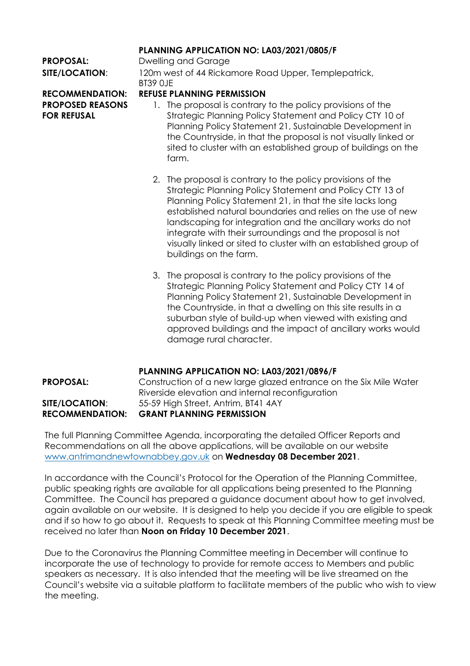### **PLANNING APPLICATION NO: LA03/2021/0805/F**

**PROPOSAL:** Dwelling and Garage **SITE/LOCATION**: 120m west of 44 Rickamore Road Upper, Templepatrick, BT39 0JE

**PROPOSED REASONS FOR REFUSAL**

## **RECOMMENDATION: REFUSE PLANNING PERMISSION**

- 1. The proposal is contrary to the policy provisions of the Strategic Planning Policy Statement and Policy CTY 10 of Planning Policy Statement 21, Sustainable Development in the Countryside, in that the proposal is not visually linked or sited to cluster with an established group of buildings on the farm.
	- 2. The proposal is contrary to the policy provisions of the Strategic Planning Policy Statement and Policy CTY 13 of Planning Policy Statement 21, in that the site lacks long established natural boundaries and relies on the use of new landscaping for integration and the ancillary works do not integrate with their surroundings and the proposal is not visually linked or sited to cluster with an established group of buildings on the farm.
	- 3. The proposal is contrary to the policy provisions of the Strategic Planning Policy Statement and Policy CTY 14 of Planning Policy Statement 21, Sustainable Development in the Countryside, in that a dwelling on this site results in a suburban style of build-up when viewed with existing and approved buildings and the impact of ancillary works would damage rural character.

# **PLANNING APPLICATION NO: LA03/2021/0896/F**

**PROPOSAL:** Construction of a new large glazed entrance on the Six Mile Water Riverside elevation and internal reconfiguration **SITE/LOCATION**: 55-59 High Street, Antrim, BT41 4AY **RECOMMENDATION: GRANT PLANNING PERMISSION**

The full Planning Committee Agenda, incorporating the detailed Officer Reports and Recommendations on all the above applications, will be available on our website www.antrimandnewtownabbey.gov.uk on **Wednesday 08 December 2021**.

In accordance with the Council's Protocol for the Operation of the Planning Committee, public speaking rights are available for all applications being presented to the Planning Committee. The Council has prepared a guidance document about how to get involved, again available on our website. It is designed to help you decide if you are eligible to speak and if so how to go about it. Requests to speak at this Planning Committee meeting must be received no later than **Noon on Friday 10 December 2021**.

Due to the Coronavirus the Planning Committee meeting in December will continue to incorporate the use of technology to provide for remote access to Members and public speakers as necessary. It is also intended that the meeting will be live streamed on the Council's website via a suitable platform to facilitate members of the public who wish to view the meeting.